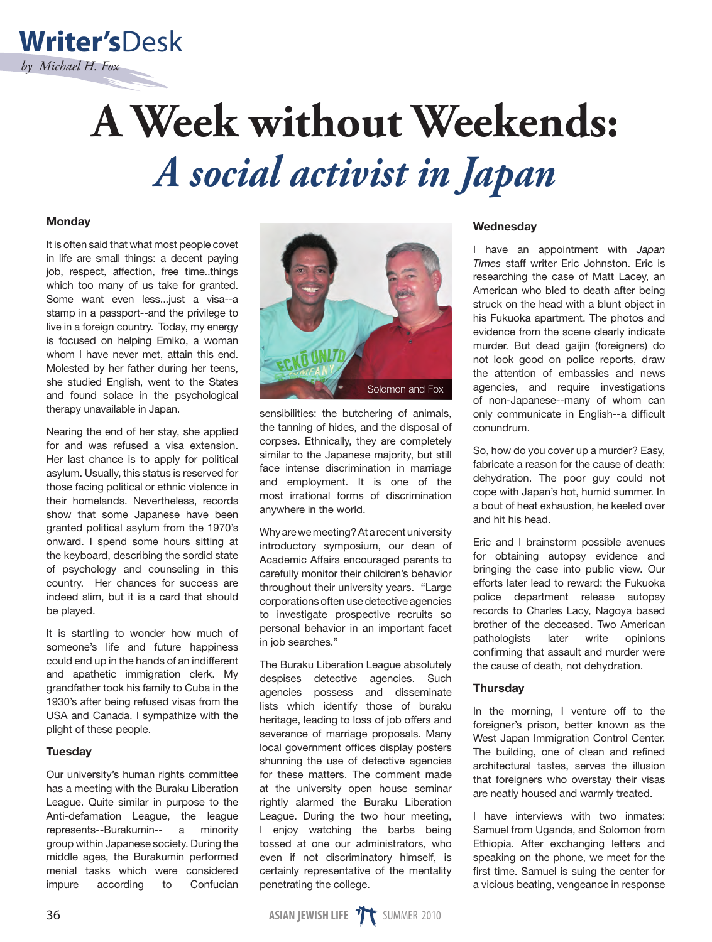# **A Week without Weekends:** *A social activist in Japan*

# **Monday**

**Writer's**Desk

*by Michael H. Fox*

It is often said that what most people covet in life are small things: a decent paying job, respect, affection, free time..things which too many of us take for granted. Some want even less...just a visa--a stamp in a passport--and the privilege to live in a foreign country. Today, my energy is focused on helping Emiko, a woman whom I have never met, attain this end. Molested by her father during her teens, she studied English, went to the States and found solace in the psychological therapy unavailable in Japan.

Nearing the end of her stay, she applied for and was refused a visa extension. Her last chance is to apply for political asylum. Usually, this status is reserved for those facing political or ethnic violence in their homelands. Nevertheless, records show that some Japanese have been granted political asylum from the 1970's onward. I spend some hours sitting at the keyboard, describing the sordid state of psychology and counseling in this country. Her chances for success are indeed slim, but it is a card that should be played.

It is startling to wonder how much of someone's life and future happiness could end up in the hands of an indifferent and apathetic immigration clerk. My grandfather took his family to Cuba in the 1930's after being refused visas from the USA and Canada. I sympathize with the plight of these people.

# **Tuesday**

Our university's human rights committee has a meeting with the Buraku Liberation League. Quite similar in purpose to the Anti-defamation League, the league represents--Burakumin-- a minority group within Japanese society. During the middle ages, the Burakumin performed menial tasks which were considered impure according to Confucian



sensibilities: the butchering of animals, the tanning of hides, and the disposal of corpses. Ethnically, they are completely similar to the Japanese majority, but still face intense discrimination in marriage and employment. It is one of the most irrational forms of discrimination anywhere in the world.

Why are we meeting? At a recent university introductory symposium, our dean of Academic Affairs encouraged parents to carefully monitor their children's behavior throughout their university years. "Large corporations often use detective agencies to investigate prospective recruits so personal behavior in an important facet in job searches."

The Buraku Liberation League absolutely despises detective agencies. Such agencies possess and disseminate lists which identify those of buraku heritage, leading to loss of job offers and severance of marriage proposals. Many local government offices display posters shunning the use of detective agencies for these matters. The comment made at the university open house seminar rightly alarmed the Buraku Liberation League. During the two hour meeting, I enjoy watching the barbs being tossed at one our administrators, who even if not discriminatory himself, is certainly representative of the mentality penetrating the college.

## **Wednesday**

I have an appointment with *Japan Times* staff writer Eric Johnston. Eric is researching the case of Matt Lacey, an American who bled to death after being struck on the head with a blunt object in his Fukuoka apartment. The photos and evidence from the scene clearly indicate murder. But dead gaijin (foreigners) do not look good on police reports, draw the attention of embassies and news agencies, and require investigations of non-Japanese--many of whom can only communicate in English--a difficult conundrum.

So, how do you cover up a murder? Easy, fabricate a reason for the cause of death: dehydration. The poor guy could not cope with Japan's hot, humid summer. In a bout of heat exhaustion, he keeled over and hit his head.

Eric and I brainstorm possible avenues for obtaining autopsy evidence and bringing the case into public view. Our efforts later lead to reward: the Fukuoka police department release autopsy records to Charles Lacy, Nagoya based brother of the deceased. Two American pathologists later write opinions confirming that assault and murder were the cause of death, not dehydration.

# **Thursdav**

In the morning, I venture off to the foreigner's prison, better known as the West Japan Immigration Control Center. The building, one of clean and refined architectural tastes, serves the illusion that foreigners who overstay their visas are neatly housed and warmly treated.

I have interviews with two inmates: Samuel from Uganda, and Solomon from Ethiopia. After exchanging letters and speaking on the phone, we meet for the first time. Samuel is suing the center for a vicious beating, vengeance in response